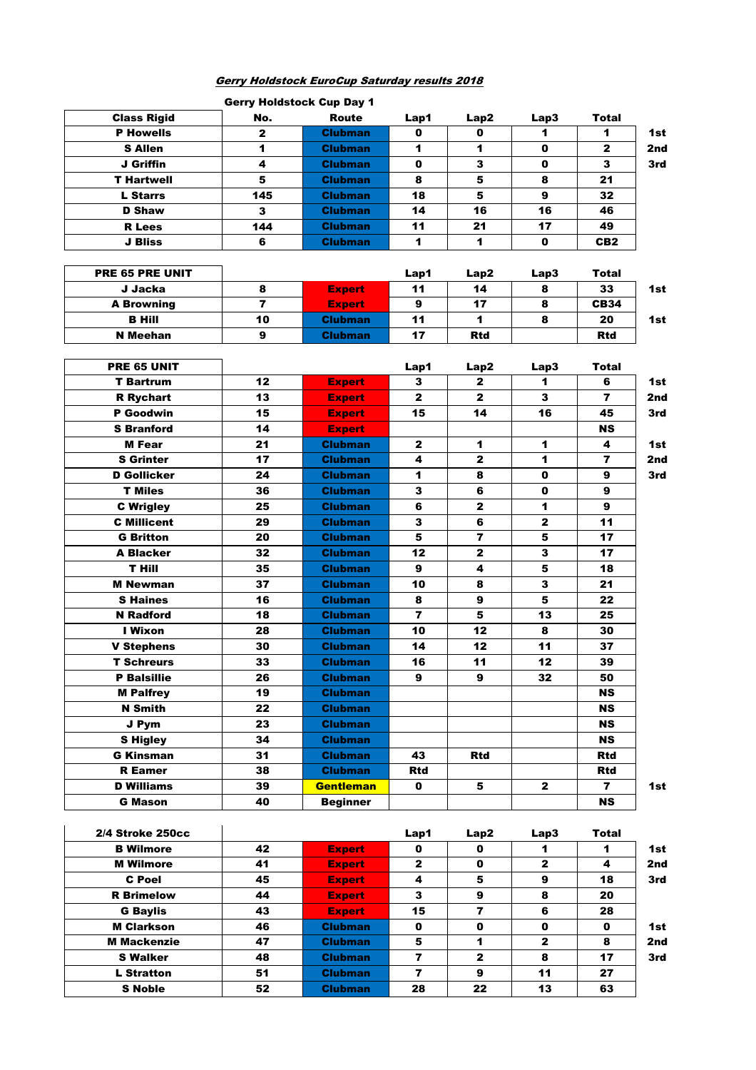## Gerry Holdstock EuroCup Saturday results 2018

| <b>Gerry Holdstock Cup Day 1</b> |                |                 |                         |                         |              |                 |     |  |  |
|----------------------------------|----------------|-----------------|-------------------------|-------------------------|--------------|-----------------|-----|--|--|
| <b>Class Rigid</b>               | No.            | Route           | Lap1                    | Lap2                    | Lap3         | Total           |     |  |  |
| <b>P Howells</b>                 | $\mathbf{z}$   | <b>Clubman</b>  | 0                       | 0                       | 1            | 1               | 1st |  |  |
| <b>S</b> Allen                   | 1              | <b>Clubman</b>  | 1                       | 1                       | $\mathbf 0$  | $\mathbf{z}$    | 2nd |  |  |
| J Griffin                        | 4              | <b>Clubman</b>  | 0                       | 3                       | 0            | 3               | 3rd |  |  |
| <b>T Hartwell</b>                | 5              | <b>Clubman</b>  | 8                       | 5                       | 8            | 21              |     |  |  |
| <b>L</b> Starrs                  | 145            | <b>Clubman</b>  | 18                      | 5                       | 9            | 32              |     |  |  |
| <b>D</b> Shaw                    | 3              | <b>Clubman</b>  | 14                      | 16                      | 16           | 46              |     |  |  |
| <b>R</b> Lees                    | 144            | <b>Clubman</b>  | 11                      | 21                      | 17           | 49              |     |  |  |
| J Bliss                          | 6              | <b>Clubman</b>  | 1                       | 1                       | 0            | CB <sub>2</sub> |     |  |  |
|                                  |                |                 |                         |                         |              |                 |     |  |  |
| PRE 65 PRE UNIT                  |                |                 | Lap1                    | Lap2                    | Lap3         | Total           |     |  |  |
| J Jacka                          | 8              | <b>Expert</b>   | 11                      | 14                      | 8            | 33              | 1st |  |  |
| <b>A Browning</b>                | $\overline{ }$ | <b>Expert</b>   | 9                       | 17                      | 8            | <b>CB34</b>     |     |  |  |
| <b>B</b> Hill                    | 10             | <b>Clubman</b>  | 11                      | 1                       | 8            | 20              | 1st |  |  |
| <b>N</b> Meehan                  | 9              | <b>Clubman</b>  | 17                      | <b>Rtd</b>              |              | <b>Rtd</b>      |     |  |  |
|                                  |                |                 |                         |                         |              |                 |     |  |  |
| PRE 65 UNIT                      |                |                 | Lap1                    | Lap2                    | Lap3         | Total           |     |  |  |
| <b>T</b> Bartrum                 | 12             | <b>Expert</b>   | 3                       | $\mathbf{2}$            | 1            | 6               | 1st |  |  |
| <b>R</b> Rychart                 | 13             | <b>Expert</b>   | $\mathbf{2}$            | $\mathbf{2}$            | 3            | $\overline{7}$  | 2nd |  |  |
| <b>P</b> Goodwin                 | 15             | <b>Expert</b>   | 15                      | 14                      | 16           | 45              | 3rd |  |  |
| <b>S</b> Branford                | 14             | <b>Expert</b>   |                         |                         |              | <b>NS</b>       |     |  |  |
| <b>M</b> Fear                    | 21             | <b>Clubman</b>  | $\mathbf{2}$            | 1                       | 1            | 4               | 1st |  |  |
| <b>S</b> Grinter                 | 17             | <b>Clubman</b>  | 4                       | $\mathbf{2}$            | 1            | $\overline{7}$  | 2nd |  |  |
| <b>D</b> Gollicker               | 24             | <b>Clubman</b>  | $\blacktriangleleft$    | 8                       | 0            | 9               | 3rd |  |  |
| <b>T</b> Miles                   | 36             | <b>Clubman</b>  | 3                       | 6                       | $\mathbf{0}$ | 9               |     |  |  |
| <b>C</b> Wrigley                 | 25             | <b>Clubman</b>  | 6                       | $\mathbf{2}$            | 1            | 9               |     |  |  |
| <b>C</b> Millicent               | 29             | <b>Clubman</b>  | 3                       | 6                       | $\mathbf{2}$ | 11              |     |  |  |
| <b>G</b> Britton                 | 20             | <b>Clubman</b>  | 5                       | $\overline{\mathbf{r}}$ | 5            | 17              |     |  |  |
| A Blacker                        | 32             | <b>Clubman</b>  | 12                      | $\mathbf{2}$            | 3            | 17              |     |  |  |
| T Hill                           | 35             | <b>Clubman</b>  | 9                       | 4                       | 5            | 18              |     |  |  |
| <b>M</b> Newman                  | 37             | <b>Clubman</b>  | 10                      | 8                       | 3            | 21              |     |  |  |
| <b>S</b> Haines                  | 16             | <b>Clubman</b>  | 8                       | 9                       | 5            | 22              |     |  |  |
| <b>N</b> Radford                 | 18             | <b>Clubman</b>  | 7                       | 5                       | 13           | 25              |     |  |  |
| I Wixon                          | 28             | <b>Clubman</b>  | 10                      | 12                      | 8            | 30              |     |  |  |
| <b>V Stephens</b>                | 30             | <b>Clubman</b>  | 14                      | 12                      | 11           | 37              |     |  |  |
| <b>T Schreurs</b>                | 33             | <b>Clubman</b>  | 16                      | 11                      | 12           | 39              |     |  |  |
| <b>P Balsillie</b>               | 26             | <b>Clubman</b>  | 9                       | 9                       | 32           | 50              |     |  |  |
| <b>M Palfrey</b>                 | 19             | <b>Clubman</b>  |                         |                         |              | NS.             |     |  |  |
| <b>N</b> Smith                   | 22             | <b>Clubman</b>  |                         |                         |              | NS.             |     |  |  |
| J Pym                            | 23             | Clubman         |                         |                         |              | NS.             |     |  |  |
| <b>S</b> Higley                  | 34             | Clubman         |                         |                         |              | <b>NS</b>       |     |  |  |
| <b>G Kinsman</b>                 | 31             | <b>Clubman</b>  | 43                      | Rtd                     |              | Rtd             |     |  |  |
| <b>R</b> Eamer                   | 38             | <b>Clubman</b>  | Rtd                     |                         |              | Rtd             |     |  |  |
| <b>D</b> Williams                | 39             | Gentleman       | 0                       | 5                       | $\mathbf{2}$ | $\overline{7}$  | 1st |  |  |
| <b>G Mason</b>                   | 40             | <b>Beginner</b> |                         |                         |              | NS              |     |  |  |
|                                  |                |                 |                         |                         |              |                 |     |  |  |
| 2/4 Stroke 250cc                 |                |                 | Lap1                    | Lap2                    | Lap3         | <b>Total</b>    |     |  |  |
| <b>B</b> Wilmore                 | 42             | <b>Expert</b>   | 0                       | 0                       | 1            | 1               | 1st |  |  |
| <b>M</b> Wilmore                 | 41             | <b>Expert</b>   | $\mathbf{2}$            | 0                       | $\mathbf{2}$ | 4               | 2nd |  |  |
| <b>C</b> Poel                    | 45             | <b>Expert</b>   | 4                       | 5                       | 9            | 18              | 3rd |  |  |
| <b>R</b> Brimelow                | 44             | <b>Expert</b>   | 3                       | 9                       | 8            | 20              |     |  |  |
| <b>G Baylis</b>                  | 43             | <b>Expert</b>   | 15                      | $\overline{\mathbf{z}}$ | 6            | 28              |     |  |  |
| <b>M Clarkson</b>                | 46             | <b>Clubman</b>  | 0                       | 0                       | 0            | 0               | 1st |  |  |
| <b>M Mackenzie</b>               | 47             | <b>Clubman</b>  | 5                       | 1                       | $\mathbf{2}$ | 8               | 2nd |  |  |
| <b>S Walker</b>                  | 48             | <b>Clubman</b>  | $\overline{\mathbf{z}}$ | $\mathbf{2}$            | 8            | 17              | 3rd |  |  |
|                                  |                |                 |                         |                         |              |                 |     |  |  |

L Stratton 51 Clubman 7 9 11 27 S Noble | 52 | Clubman | 28 | 22 | 13 | 63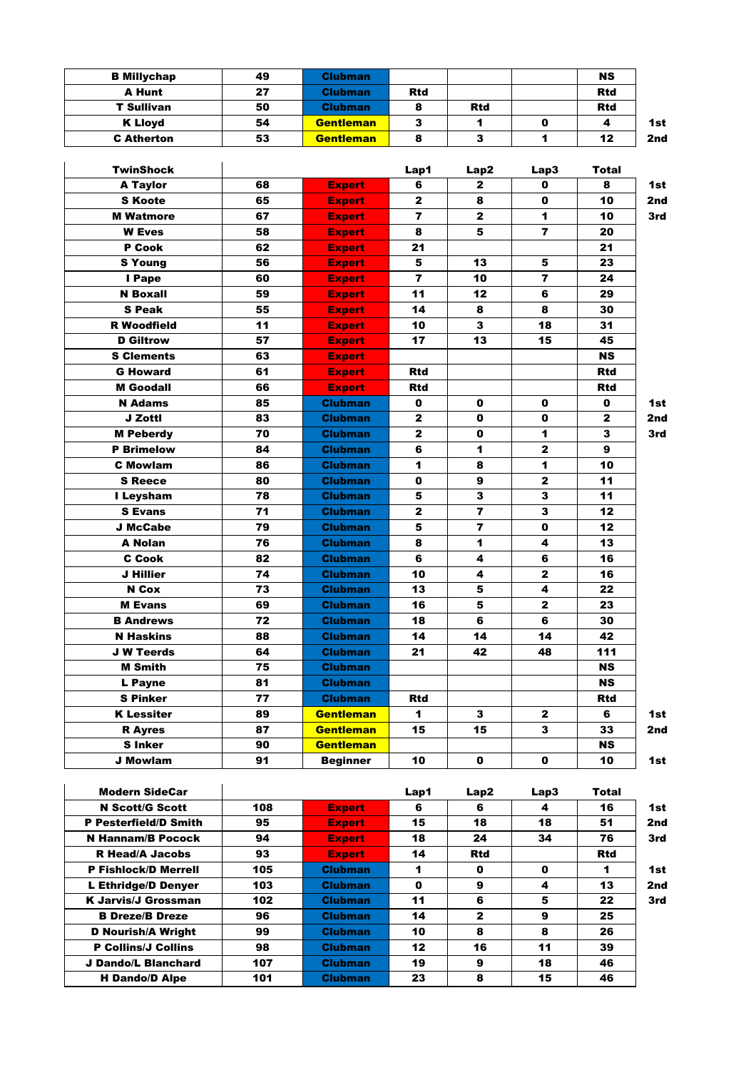| <b>B Millychap</b>       | 49  | <b>Clubman</b>   |                         |                         |                         | <b>NS</b>    |     |
|--------------------------|-----|------------------|-------------------------|-------------------------|-------------------------|--------------|-----|
| <b>A Hunt</b>            | 27  | <b>Clubman</b>   | <b>Rtd</b>              |                         |                         | <b>Rtd</b>   |     |
| <b>T Sullivan</b>        | 50  | <b>Clubman</b>   | 8                       | <b>Rtd</b>              |                         | <b>Rtd</b>   |     |
| <b>K Lloyd</b>           | 54  | <b>Gentleman</b> | 3                       | 1                       | 0                       | 4            | 1st |
| <b>C</b> Atherton        | 53  | <b>Gentleman</b> | 8                       | 3                       | $\blacktriangleleft$    | 12           | 2nd |
|                          |     |                  |                         |                         |                         |              |     |
| <b>TwinShock</b>         |     |                  | Lap1                    | Lap2                    | Lap3                    | Total        |     |
| <b>A Taylor</b>          | 68  | <b>Expert</b>    | 6                       | $\mathbf{z}$            | O                       | 8            | 1st |
| <b>S</b> Koote           | 65  | <b>Expert</b>    | $\mathbf{2}$            | 8                       | 0                       | 10           | 2nd |
| <b>M</b> Watmore         | 67  | <b>Expert</b>    | $\overline{7}$          | $\mathbf{2}$            | 1                       | 10           | 3rd |
| <b>W</b> Eves            | 58  | <b>Expert</b>    | 8                       | 5                       | $\overline{7}$          | 20           |     |
| P Cook                   | 62  | <b>Expert</b>    | 21                      |                         |                         | 21           |     |
| <b>S</b> Young           | 56  | <b>Expert</b>    | 5                       | 13                      | 5                       | 23           |     |
| I Pape                   | 60  | <b>Expert</b>    | $\overline{\mathbf{z}}$ | 10                      | $\overline{\mathbf{z}}$ | 24           |     |
| <b>N</b> Boxall          | 59  | <b>Expert</b>    | 11                      | 12                      | 6                       | 29           |     |
| <b>S Peak</b>            | 55  | <b>Expert</b>    | 14                      | 8                       | 8                       | 30           |     |
| <b>R</b> Woodfield       | 11  | <b>Expert</b>    | 10                      | 3                       | 18                      | 31           |     |
| <b>D</b> Giltrow         | 57  | <b>Expert</b>    | 17                      | 13                      | 15                      | 45           |     |
| <b>S Clements</b>        | 63  | <b>Expert</b>    |                         |                         |                         | <b>NS</b>    |     |
| <b>G Howard</b>          | 61  | <b>Expert</b>    | <b>Rtd</b>              |                         |                         | <b>Rtd</b>   |     |
| <b>M</b> Goodall         | 66  | <b>Expert</b>    | <b>Rtd</b>              |                         |                         | <b>Rtd</b>   |     |
| <b>N</b> Adams           | 85  | <b>Clubman</b>   | 0                       | 0                       | 0                       | 0            | 1st |
| J Zottl                  | 83  | <b>Clubman</b>   | $\mathbf{2}$            | 0                       | 0                       | 2            | 2nd |
| <b>M</b> Peberdy         | 70  | <b>Clubman</b>   | $\mathbf{2}$            | 0                       | 1                       | 3            | 3rd |
| <b>P</b> Brimelow        | 84  | <b>Clubman</b>   | 6                       | $\mathbf{1}$            | $\mathbf{z}$            | 9            |     |
| <b>C</b> Mowlam          | 86  | <b>Clubman</b>   | 1                       | 8                       | 1                       | 10           |     |
| <b>S</b> Reece           | 80  | <b>Clubman</b>   | 0                       | 9                       | $\mathbf{2}$            | 11           |     |
| I Leysham                | 78  | <b>Clubman</b>   | 5                       | $\mathbf 3$             | $\mathbf{3}$            | 11           |     |
| <b>S</b> Evans           | 71  | <b>Clubman</b>   | $\mathbf{z}$            | $\overline{7}$          | 3                       | 12           |     |
| <b>J McCabe</b>          | 79  | <b>Clubman</b>   | 5                       | $\overline{\mathbf{r}}$ | $\mathbf 0$             | 12           |     |
| <b>A Nolan</b>           | 76  | <b>Clubman</b>   | 8                       | 1                       | 4                       | 13           |     |
| <b>C</b> Cook            | 82  | <b>Clubman</b>   | 6                       | 4                       | 6                       | 16           |     |
| J Hillier                | 74  | <b>Clubman</b>   | 10                      | 4                       | $\mathbf{2}$            | 16           |     |
| N Cox                    | 73  | <b>Clubman</b>   | 13                      | 5                       | 4                       | 22           |     |
| <b>M</b> Evans           | 69  | <b>Clubman</b>   | 16                      | 5                       | $\mathbf{2}$            | 23           |     |
| <b>B</b> Andrews         | 72  | <b>Clubman</b>   | 18                      | 6                       | 6                       | 30           |     |
| <b>N Haskins</b>         | 88  | <b>Clubman</b>   | 14                      | 14                      | 14                      | 42           |     |
| <b>J W Teerds</b>        | 64  | <b>Clubman</b>   | 21                      | 42                      | 48                      | 111          |     |
| <b>M</b> Smith           | 75  | <b>Clubman</b>   |                         |                         |                         | NS.          |     |
| L Payne                  | 81  | <b>Clubman</b>   |                         |                         |                         | <b>NS</b>    |     |
| <b>S Pinker</b>          | 77  | <b>Clubman</b>   | <b>Rtd</b>              |                         |                         | Rtd          |     |
| <b>K Lessiter</b>        | 89  | <b>Gentleman</b> | 1                       | 3                       | 2                       | 6            | 1st |
| <b>R</b> Ayres           | 87  | <b>Gentleman</b> | 15                      | 15                      | 3                       | 33           | 2nd |
| <b>S</b> Inker           | 90  | <b>Gentleman</b> |                         |                         |                         | <b>NS</b>    |     |
| <b>J Mowlam</b>          | 91  | <b>Beginner</b>  | 10                      | 0                       | 0                       | 10           | 1st |
|                          |     |                  |                         |                         |                         |              |     |
| <b>Modern SideCar</b>    |     |                  | Lap1                    | Lap2                    | Lap3                    | <b>Total</b> |     |
| <b>N Scott/G Scott</b>   | 108 | <b>Expert</b>    | 6                       | 6                       | 4                       | 16           | 1st |
| P Pesterfield/D Smith    | 95  | <b>Expert</b>    | 15                      | 18                      | 18                      | 51           | 2nd |
| <b>N Hannam/B Pocock</b> | 94  | <b>Expert</b>    | 18                      | 24                      | 34                      | 76           | 3rd |
| <b>R Head/A Jacobs</b>   | 93  | <b>Expert</b>    | 14                      | <b>Rtd</b>              |                         | <b>Rtd</b>   |     |

P Collins/J Collins **98** Clubman 12 16 11 39 J Dando/L Blanchard | 107 | Clubman | 19 | 9 | 18 | 46 H Dando/D Alpe | 101 | Clubman | 23 | 8 | 15 | 46

P Fishlock/D Merrell 105 Clubman 1 0 0 1 1st L Ethridge/D Denyer | 103 Clubman | 0 | 9 | 4 | 13 | 2nd K Jarvis/J Grossman 102 Clubman 11 6 5 22 3rd **B Dreze/B Dreze 96 Clubman 14 2 9 25** D Nourish/A Wright | 99 | Clubman | 10 | 8 | 8 | 26